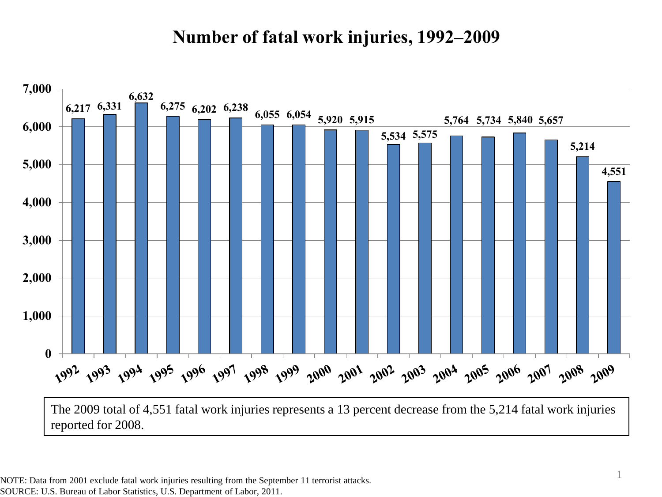#### **Number of fatal work injuries, 1992–2009**



NOTE: Data from 2001 exclude fatal work injuries resulting from the September 11 terrorist attacks. SOURCE: U.S. Bureau of Labor Statistics, U.S. Department of Labor, 2011.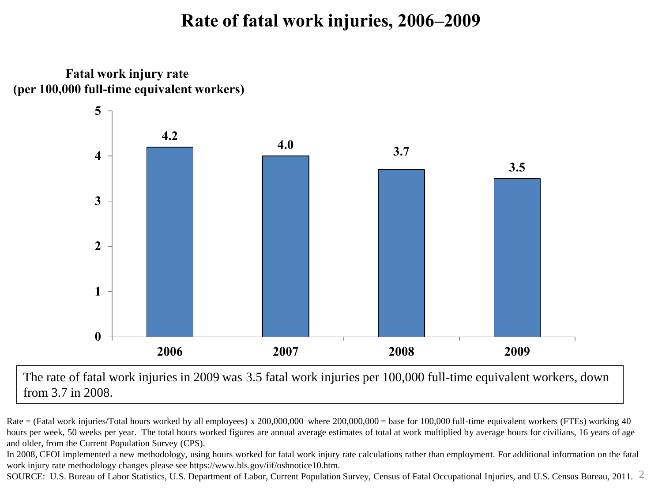### **Rate of fatal work injuries, 2006–2009**

**Fatal work injury rate (per 100,000 full-time equivalent workers)**



The rate of fatal work injuries in 2009 was 3.5 fatal work injuries per 100,000 full-time equivalent workers, down from 3.7 in 2008.

Rate = (Fatal work injuries/Total hours worked by all employees) x 200,000,000 where 200,000,000 = base for 100,000 full-time equivalent workers (FTEs) working 40 hours per week, 50 weeks per year. The total hours worked figures are annual average estimates of total at work multiplied by average hours for civilians, 16 years of age and older, from the Current Population Survey (CPS).

In 2008, CFOI implemented a new methodology, using hours worked for fatal work injury rate calculations rather than employment. For additional information on the fatal work injury rate methodology changes please see https://www.bls.gov/iif/oshnotice10.htm.

SOURCE: U.S. Bureau of Labor Statistics, U.S. Department of Labor, Current Population Survey, Census of Fatal Occupational Injuries, and U.S. Census Bureau, 2011. 2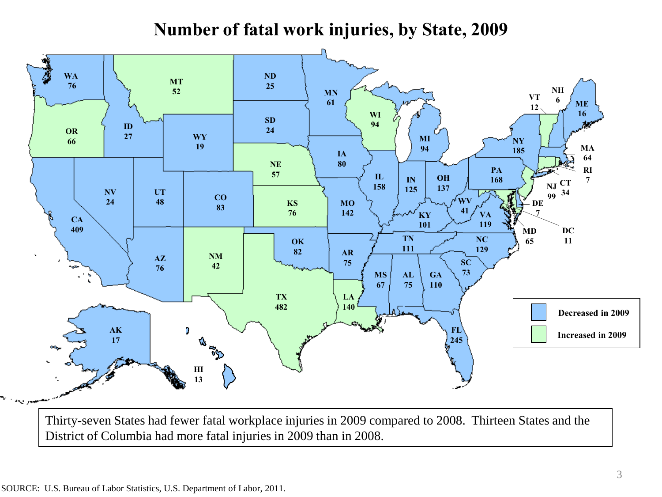# **Number of fatal work injuries, by State, 2009**



Thirty-seven States had fewer fatal workplace injuries in 2009 compared to 2008. Thirteen States and the District of Columbia had more fatal injuries in 2009 than in 2008.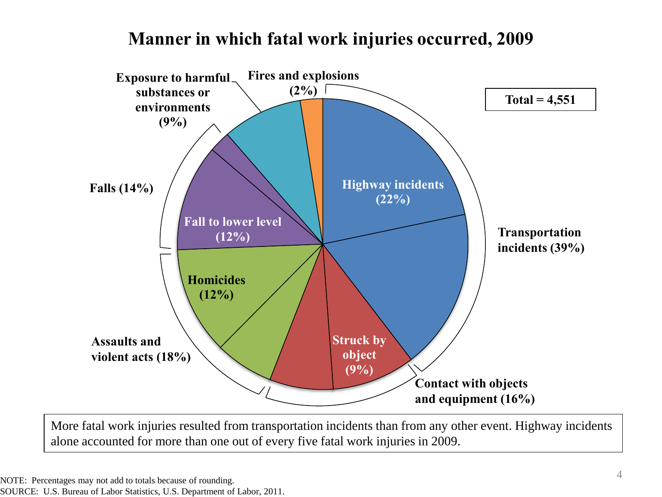#### **Manner in which fatal work injuries occurred, 2009**



More fatal work injuries resulted from transportation incidents than from any other event. Highway incidents alone accounted for more than one out of every five fatal work injuries in 2009.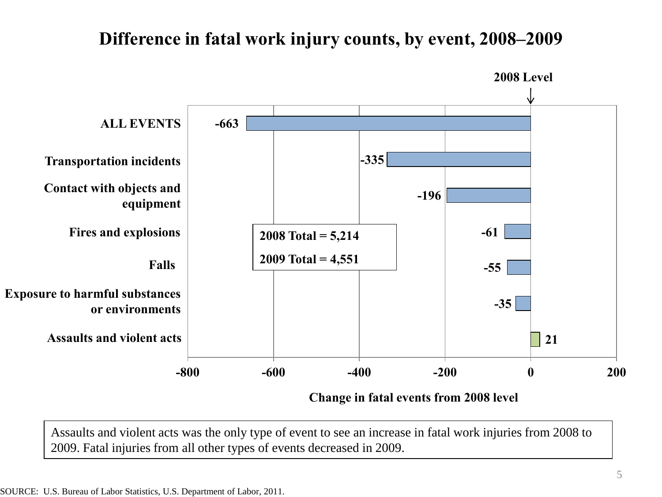### **Difference in fatal work injury counts, by event, 2008–2009**



**Change in fatal events from 2008 level**

Assaults and violent acts was the only type of event to see an increase in fatal work injuries from 2008 to 2009. Fatal injuries from all other types of events decreased in 2009.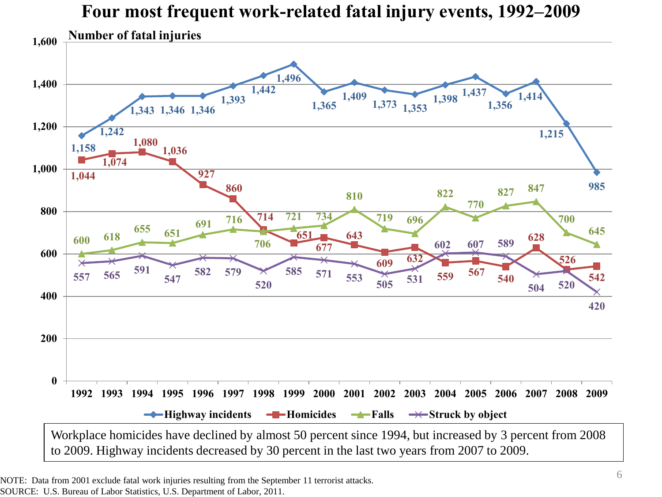

NOTE: Data from 2001 exclude fatal work injuries resulting from the September 11 terrorist attacks. SOURCE: U.S. Bureau of Labor Statistics, U.S. Department of Labor, 2011.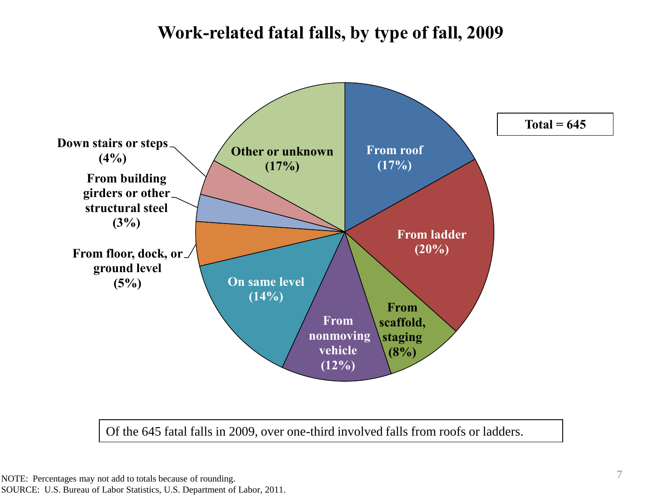# **Work-related fatal falls, by type of fall, 2009**



Of the 645 fatal falls in 2009, over one-third involved falls from roofs or ladders.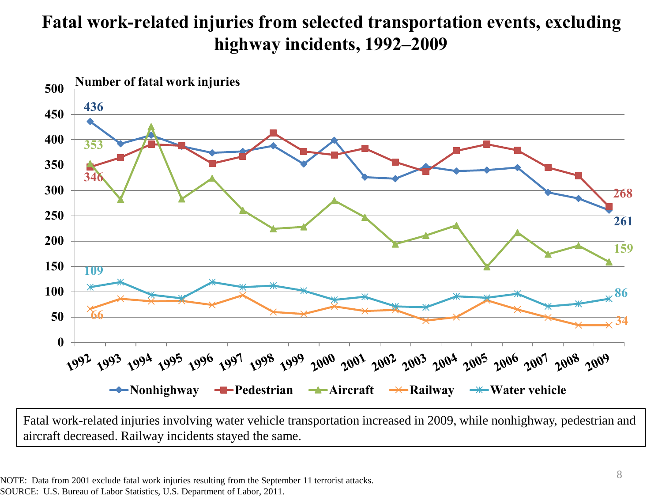# **Fatal work-related injuries from selected transportation events, excluding highway incidents, 1992–2009**



Fatal work-related injuries involving water vehicle transportation increased in 2009, while nonhighway, pedestrian and aircraft decreased. Railway incidents stayed the same.

NOTE: Data from 2001 exclude fatal work injuries resulting from the September 11 terrorist attacks. SOURCE: U.S. Bureau of Labor Statistics, U.S. Department of Labor, 2011.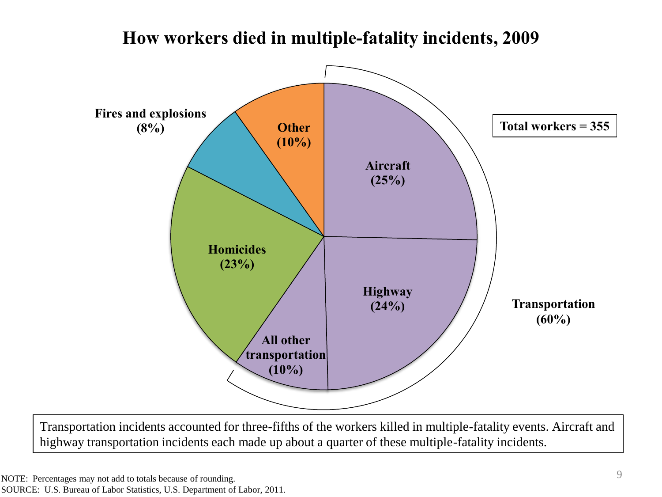# **Fires and explosions How workers died in multiple-fatality incidents, 2009 Total workers = 355**

**(10%)**

**(8%) Other**



Transportation incidents accounted for three-fifths of the workers killed in multiple-fatality events. Aircraft and highway transportation incidents each made up about a quarter of these multiple-fatality incidents.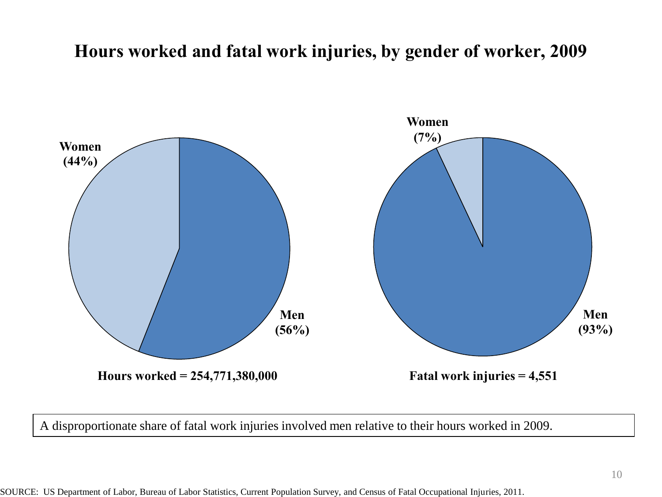## **Hours worked and fatal work injuries, by gender of worker, 2009**



A disproportionate share of fatal work injuries involved men relative to their hours worked in 2009.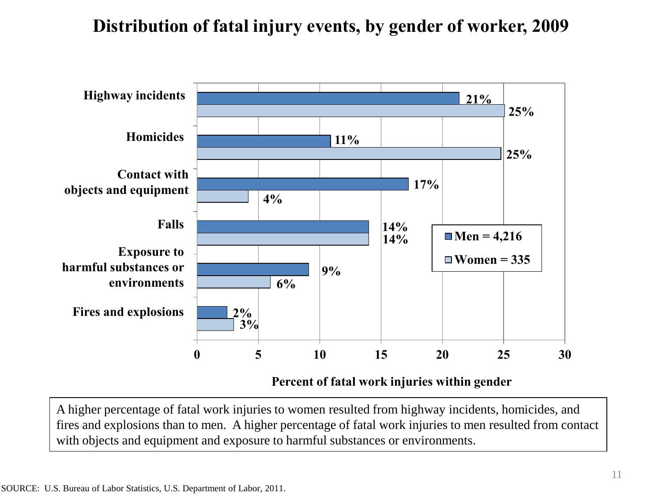# **Distribution of fatal injury events, by gender of worker, 2009**



A higher percentage of fatal work injuries to women resulted from highway incidents, homicides, and fires and explosions than to men. A higher percentage of fatal work injuries to men resulted from contact with objects and equipment and exposure to harmful substances or environments.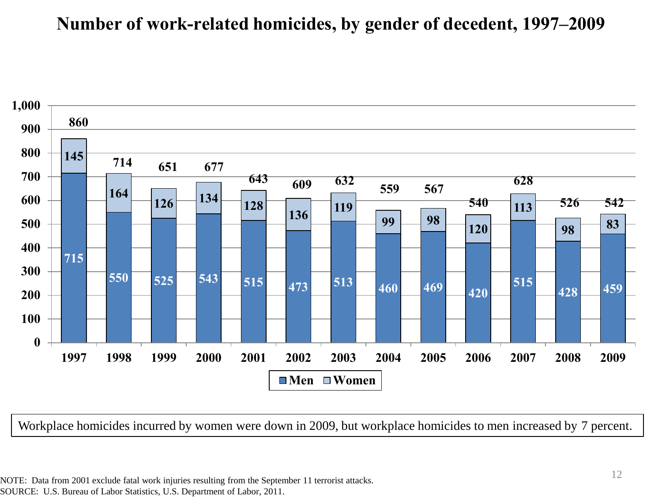#### **Number of work-related homicides, by gender of decedent, 1997–2009**



Workplace homicides incurred by women were down in 2009, but workplace homicides to men increased by 7 percent.

NOTE: Data from 2001 exclude fatal work injuries resulting from the September 11 terrorist attacks. SOURCE: U.S. Bureau of Labor Statistics, U.S. Department of Labor, 2011.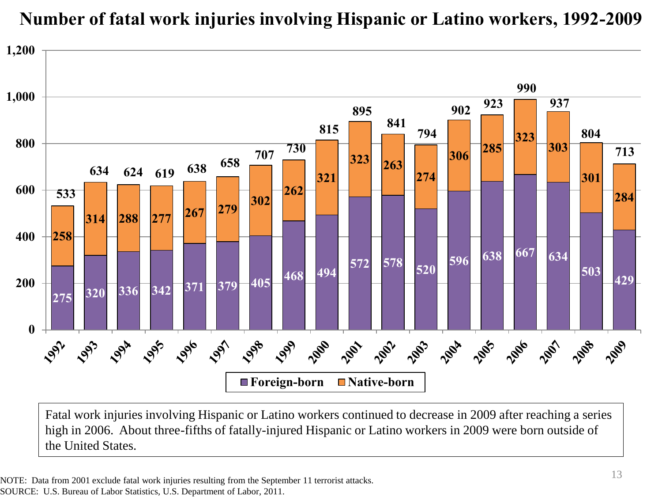

# **Number of fatal work injuries involving Hispanic or Latino workers, 1992-2009**

Fatal work injuries involving Hispanic or Latino workers continued to decrease in 2009 after reaching a series high in 2006. About three-fifths of fatally-injured Hispanic or Latino workers in 2009 were born outside of the United States.

NOTE: Data from 2001 exclude fatal work injuries resulting from the September 11 terrorist attacks. SOURCE: U.S. Bureau of Labor Statistics, U.S. Department of Labor, 2011.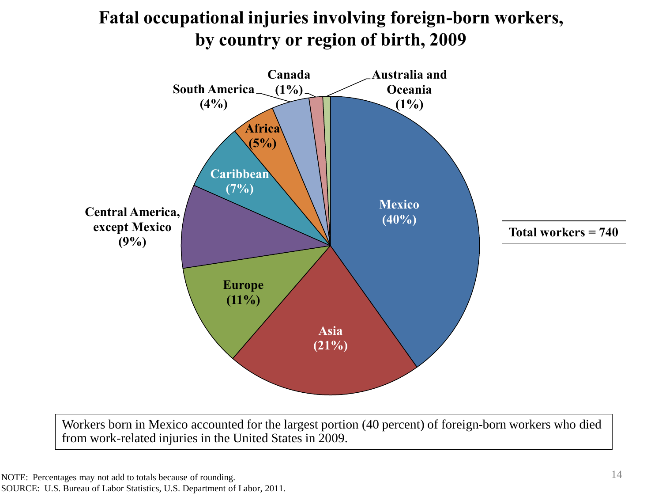

**Fatal occupational injuries involving foreign-born workers, by country or region of birth, 2009**

Workers born in Mexico accounted for the largest portion (40 percent) of foreign-born workers who died from work-related injuries in the United States in 2009.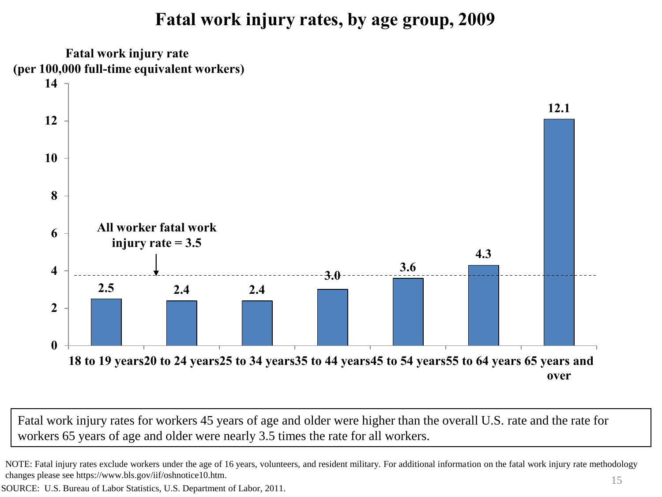# **Fatal work injury rates, by age group, 2009**



Fatal work injury rates for workers 45 years of age and older were higher than the overall U.S. rate and the rate for workers 65 years of age and older were nearly 3.5 times the rate for all workers.

NOTE: Fatal injury rates exclude workers under the age of 16 years, volunteers, and resident military. For additional information on the fatal work injury rate methodology changes please see https://www.bls.gov/iif/oshnotice10.htm.

SOURCE: U.S. Bureau of Labor Statistics, U.S. Department of Labor, 2011.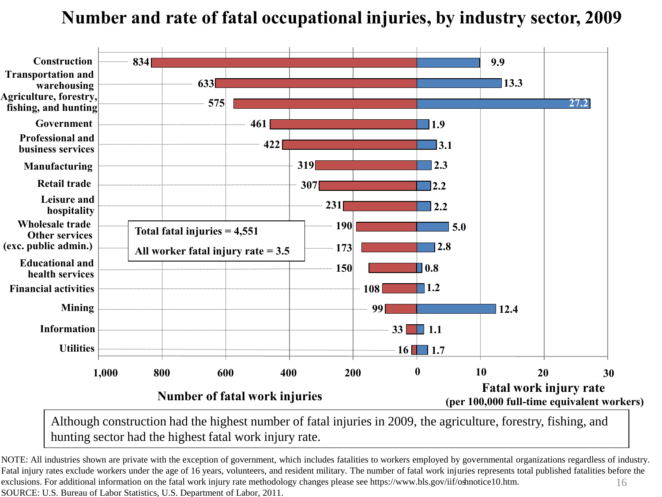# **Number and rate of fatal occupational injuries, by industry sector, 2009**



Although construction had the highest number of fatal injuries in 2009, the agriculture, forestry, fishing, and hunting sector had the highest fatal work injury rate.

16 NOTE: All industries shown are private with the exception of government, which includes fatalities to workers employed by governmental organizations regardless of industry. Fatal injury rates exclude workers under the age of 16 years, volunteers, and resident military. The number of fatal work injuries represents total published fatalities before the exclusions. For additional information on the fatal work injury rate methodology changes please see https://www.bls.gov/iif/oshnotice10.htm. SOURCE: U.S. Bureau of Labor Statistics, U.S. Department of Labor, 2011.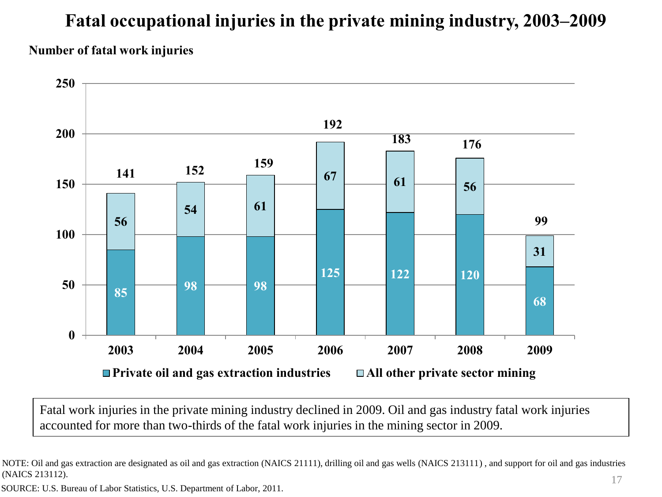# **Fatal occupational injuries in the private mining industry, 2003–2009 Number of fatal work injuries**



Fatal work injuries in the private mining industry declined in 2009. Oil and gas industry fatal work injuries accounted for more than two-thirds of the fatal work injuries in the mining sector in 2009.

SOURCE: U.S. Bureau of Labor Statistics, U.S. Department of Labor, 2011.

NOTE: Oil and gas extraction are designated as oil and gas extraction (NAICS 21111), drilling oil and gas wells (NAICS 213111) , and support for oil and gas industries (NAICS 213112).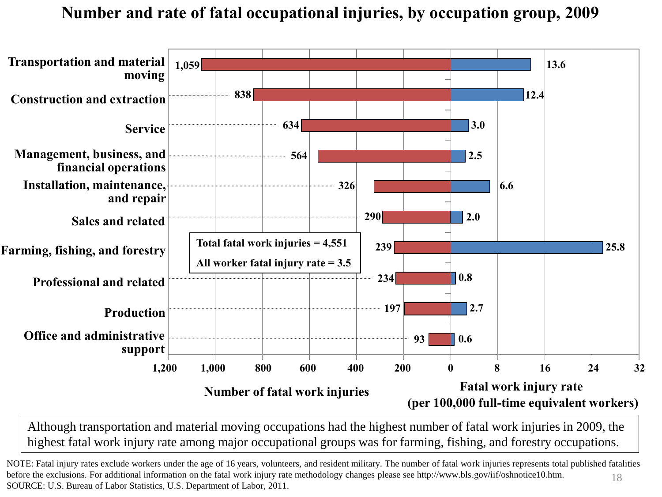#### **Number and rate of fatal occupational injuries, by occupation group, 2009**



Although transportation and material moving occupations had the highest number of fatal work injuries in 2009, the highest fatal work injury rate among major occupational groups was for farming, fishing, and forestry occupations.

18 NOTE: Fatal injury rates exclude workers under the age of 16 years, volunteers, and resident military. The number of fatal work injuries represents total published fatalities before the exclusions. For additional information on the fatal work injury rate methodology changes please see http://www.bls.gov/iif/oshnotice10.htm. SOURCE: U.S. Bureau of Labor Statistics, U.S. Department of Labor, 2011.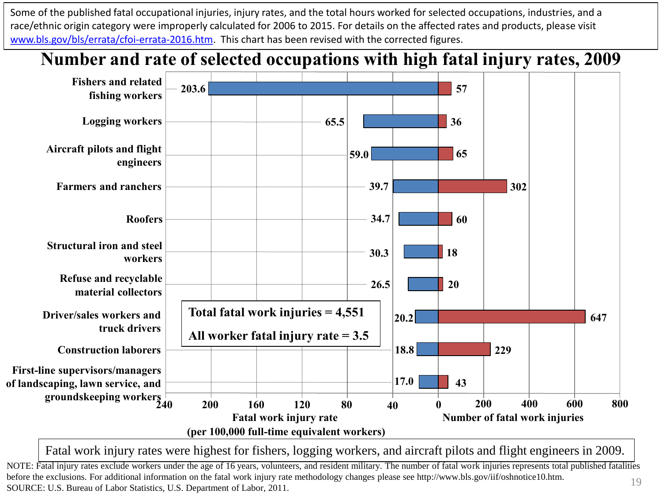Some of the published fatal occupational injuries, injury rates, and the total hours worked for selected occupations, industries, and a race/ethnic origin category were improperly calculated for 2006 to 2015. For details on the affected rates and products, please visit [www.bls.gov/bls/errata/cfoi-errata-2016.htm.](http://www.bls.gov/bls/errata/cfoi-errata-2016.htm) This chart has been revised with the corrected figures.



Fatal work injury rates were highest for fishers, logging workers, and aircraft pilots and flight engineers in 2009.

NOTE: Fatal injury rates exclude workers under the age of 16 years, volunteers, and resident military. The number of fatal work injuries represents total published fatalities before the exclusions. For additional information on the fatal work injury rate methodology changes please see http://www.bls.gov/iif/oshnotice10.htm. Source the exclusions. For additional information on the ratal work hijury rate methodology changes please see mtp.//www.bis.gov/m/osimoticeTo.ntm. 19<br>SOURCE: U.S. Bureau of Labor Statistics, U.S. Department of Labor, 2011